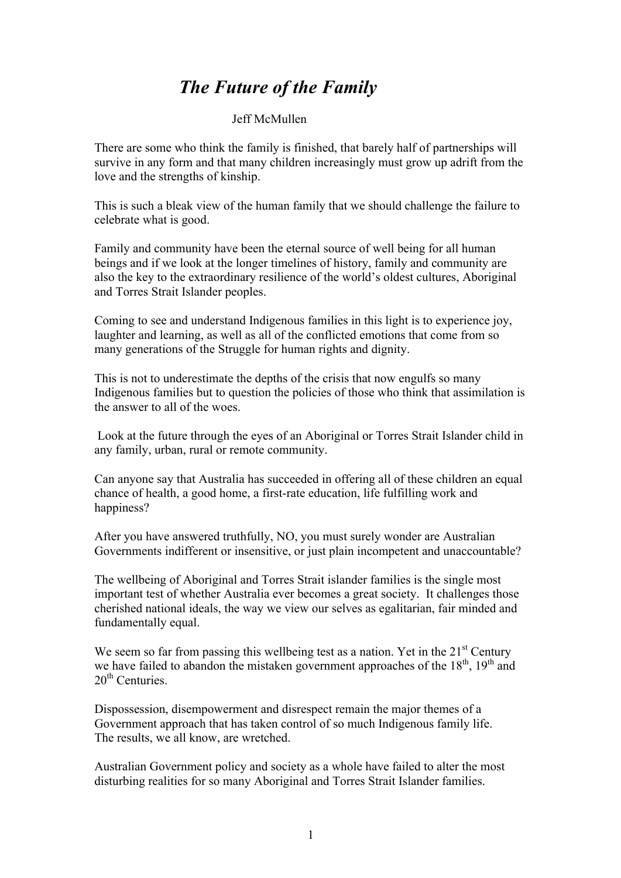## *The Future of the Family*

## Jeff McMullen

There are some who think the family is finished, that barely half of partnerships will survive in any form and that many children increasingly must grow up adrift from the love and the strengths of kinship.

This is such a bleak view of the human family that we should challenge the failure to celebrate what is good.

Family and community have been the eternal source of well being for all human beings and if we look at the longer timelines of history, family and community are also the key to the extraordinary resilience of the world's oldest cultures, Aboriginal and Torres Strait Islander peoples.

Coming to see and understand Indigenous families in this light is to experience joy, laughter and learning, as well as all of the conflicted emotions that come from so many generations of the Struggle for human rights and dignity.

This is not to underestimate the depths of the crisis that now engulfs so many Indigenous families but to question the policies of those who think that assimilation is the answer to all of the woes.

Look at the future through the eyes of an Aboriginal or Torres Strait Islander child in any family, urban, rural or remote community.

Can anyone say that Australia has succeeded in offering all of these children an equal chance of health, a good home, a first-rate education, life fulfilling work and happiness?

After you have answered truthfully, NO, you must surely wonder are Australian Governments indifferent or insensitive, or just plain incompetent and unaccountable?

The wellbeing of Aboriginal and Torres Strait islander families is the single most important test of whether Australia ever becomes a great society. It challenges those cherished national ideals, the way we view our selves as egalitarian, fair minded and fundamentally equal.

We seem so far from passing this wellbeing test as a nation. Yet in the  $21<sup>st</sup>$  Century we have failed to abandon the mistaken government approaches of the  $18<sup>th</sup>$ ,  $19<sup>th</sup>$  and  $20<sup>th</sup>$  Centuries.

Dispossession, disempowerment and disrespect remain the major themes of a Government approach that has taken control of so much Indigenous family life. The results, we all know, are wretched.

Australian Government policy and society as a whole have failed to alter the most disturbing realities for so many Aboriginal and Torres Strait Islander families.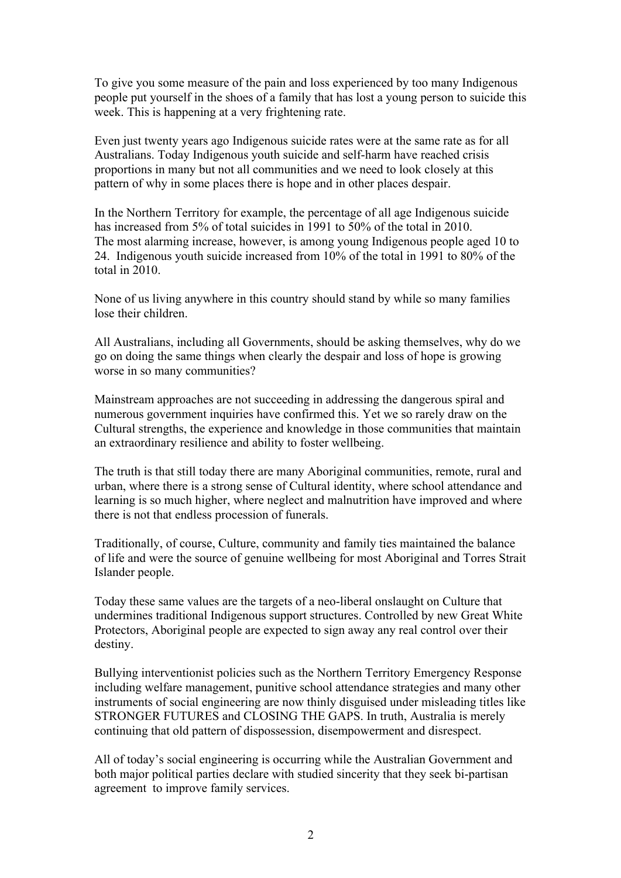To give you some measure of the pain and loss experienced by too many Indigenous people put yourself in the shoes of a family that has lost a young person to suicide this week. This is happening at a very frightening rate.

Even just twenty years ago Indigenous suicide rates were at the same rate as for all Australians. Today Indigenous youth suicide and self-harm have reached crisis proportions in many but not all communities and we need to look closely at this pattern of why in some places there is hope and in other places despair.

In the Northern Territory for example, the percentage of all age Indigenous suicide has increased from 5% of total suicides in 1991 to 50% of the total in 2010. The most alarming increase, however, is among young Indigenous people aged 10 to 24. Indigenous youth suicide increased from 10% of the total in 1991 to 80% of the total in 2010.

None of us living anywhere in this country should stand by while so many families lose their children.

All Australians, including all Governments, should be asking themselves, why do we go on doing the same things when clearly the despair and loss of hope is growing worse in so many communities?

Mainstream approaches are not succeeding in addressing the dangerous spiral and numerous government inquiries have confirmed this. Yet we so rarely draw on the Cultural strengths, the experience and knowledge in those communities that maintain an extraordinary resilience and ability to foster wellbeing.

The truth is that still today there are many Aboriginal communities, remote, rural and urban, where there is a strong sense of Cultural identity, where school attendance and learning is so much higher, where neglect and malnutrition have improved and where there is not that endless procession of funerals.

Traditionally, of course, Culture, community and family ties maintained the balance of life and were the source of genuine wellbeing for most Aboriginal and Torres Strait Islander people.

Today these same values are the targets of a neo-liberal onslaught on Culture that undermines traditional Indigenous support structures. Controlled by new Great White Protectors, Aboriginal people are expected to sign away any real control over their destiny.

Bullying interventionist policies such as the Northern Territory Emergency Response including welfare management, punitive school attendance strategies and many other instruments of social engineering are now thinly disguised under misleading titles like STRONGER FUTURES and CLOSING THE GAPS. In truth, Australia is merely continuing that old pattern of dispossession, disempowerment and disrespect.

All of today's social engineering is occurring while the Australian Government and both major political parties declare with studied sincerity that they seek bi-partisan agreement to improve family services.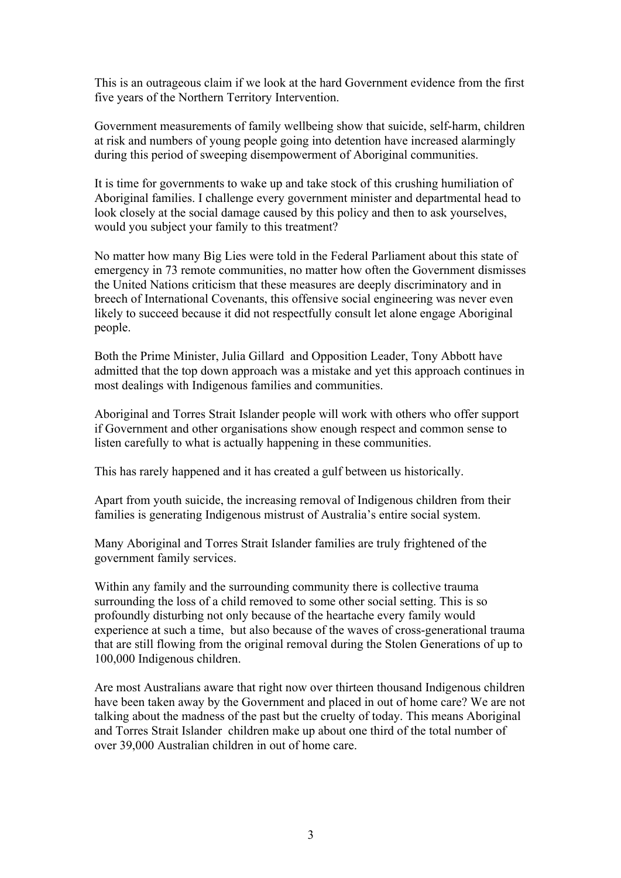This is an outrageous claim if we look at the hard Government evidence from the first five years of the Northern Territory Intervention.

Government measurements of family wellbeing show that suicide, self-harm, children at risk and numbers of young people going into detention have increased alarmingly during this period of sweeping disempowerment of Aboriginal communities.

It is time for governments to wake up and take stock of this crushing humiliation of Aboriginal families. I challenge every government minister and departmental head to look closely at the social damage caused by this policy and then to ask yourselves, would you subject your family to this treatment?

No matter how many Big Lies were told in the Federal Parliament about this state of emergency in 73 remote communities, no matter how often the Government dismisses the United Nations criticism that these measures are deeply discriminatory and in breech of International Covenants, this offensive social engineering was never even likely to succeed because it did not respectfully consult let alone engage Aboriginal people.

Both the Prime Minister, Julia Gillard and Opposition Leader, Tony Abbott have admitted that the top down approach was a mistake and yet this approach continues in most dealings with Indigenous families and communities.

Aboriginal and Torres Strait Islander people will work with others who offer support if Government and other organisations show enough respect and common sense to listen carefully to what is actually happening in these communities.

This has rarely happened and it has created a gulf between us historically.

Apart from youth suicide, the increasing removal of Indigenous children from their families is generating Indigenous mistrust of Australia's entire social system.

Many Aboriginal and Torres Strait Islander families are truly frightened of the government family services.

Within any family and the surrounding community there is collective trauma surrounding the loss of a child removed to some other social setting. This is so profoundly disturbing not only because of the heartache every family would experience at such a time, but also because of the waves of cross-generational trauma that are still flowing from the original removal during the Stolen Generations of up to 100,000 Indigenous children.

Are most Australians aware that right now over thirteen thousand Indigenous children have been taken away by the Government and placed in out of home care? We are not talking about the madness of the past but the cruelty of today. This means Aboriginal and Torres Strait Islander children make up about one third of the total number of over 39,000 Australian children in out of home care.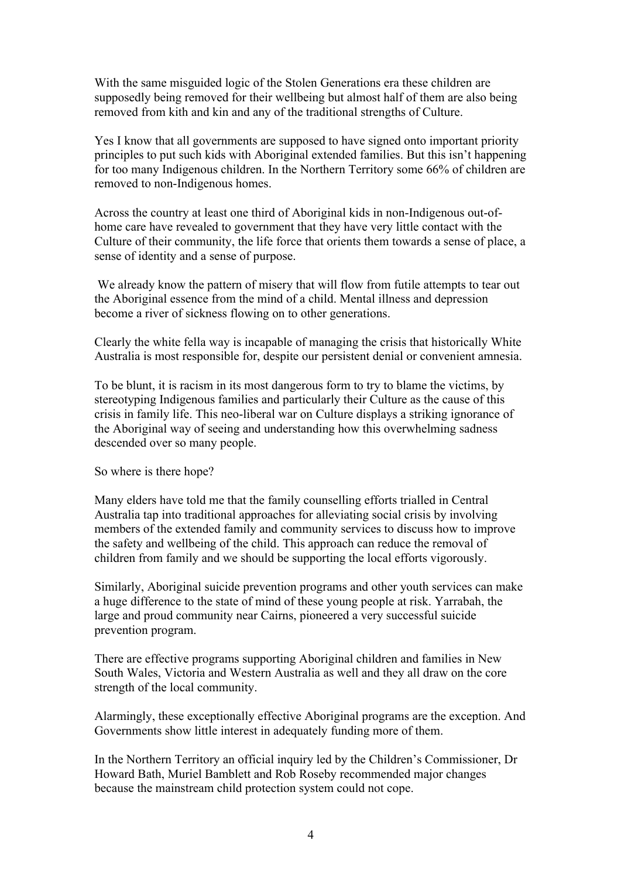With the same misguided logic of the Stolen Generations era these children are supposedly being removed for their wellbeing but almost half of them are also being removed from kith and kin and any of the traditional strengths of Culture.

Yes I know that all governments are supposed to have signed onto important priority principles to put such kids with Aboriginal extended families. But this isn't happening for too many Indigenous children. In the Northern Territory some 66% of children are removed to non-Indigenous homes.

Across the country at least one third of Aboriginal kids in non-Indigenous out-ofhome care have revealed to government that they have very little contact with the Culture of their community, the life force that orients them towards a sense of place, a sense of identity and a sense of purpose.

We already know the pattern of misery that will flow from futile attempts to tear out the Aboriginal essence from the mind of a child. Mental illness and depression become a river of sickness flowing on to other generations.

Clearly the white fella way is incapable of managing the crisis that historically White Australia is most responsible for, despite our persistent denial or convenient amnesia.

To be blunt, it is racism in its most dangerous form to try to blame the victims, by stereotyping Indigenous families and particularly their Culture as the cause of this crisis in family life. This neo-liberal war on Culture displays a striking ignorance of the Aboriginal way of seeing and understanding how this overwhelming sadness descended over so many people.

So where is there hope?

Many elders have told me that the family counselling efforts trialled in Central Australia tap into traditional approaches for alleviating social crisis by involving members of the extended family and community services to discuss how to improve the safety and wellbeing of the child. This approach can reduce the removal of children from family and we should be supporting the local efforts vigorously.

Similarly, Aboriginal suicide prevention programs and other youth services can make a huge difference to the state of mind of these young people at risk. Yarrabah, the large and proud community near Cairns, pioneered a very successful suicide prevention program.

There are effective programs supporting Aboriginal children and families in New South Wales, Victoria and Western Australia as well and they all draw on the core strength of the local community.

Alarmingly, these exceptionally effective Aboriginal programs are the exception. And Governments show little interest in adequately funding more of them.

In the Northern Territory an official inquiry led by the Children's Commissioner, Dr Howard Bath, Muriel Bamblett and Rob Roseby recommended major changes because the mainstream child protection system could not cope.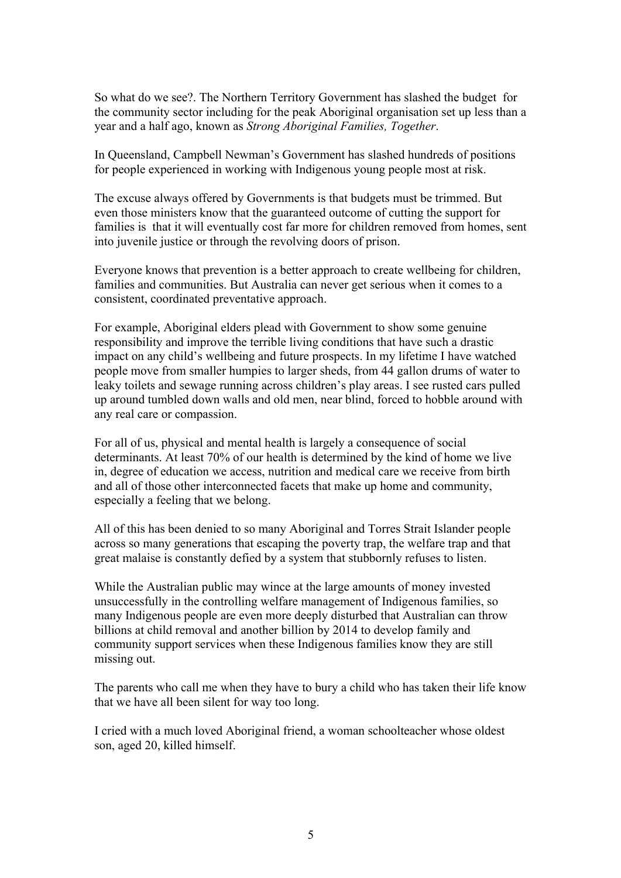So what do we see?. The Northern Territory Government has slashed the budget for the community sector including for the peak Aboriginal organisation set up less than a year and a half ago, known as *Strong Aboriginal Families, Together*.

In Queensland, Campbell Newman's Government has slashed hundreds of positions for people experienced in working with Indigenous young people most at risk.

The excuse always offered by Governments is that budgets must be trimmed. But even those ministers know that the guaranteed outcome of cutting the support for families is that it will eventually cost far more for children removed from homes, sent into juvenile justice or through the revolving doors of prison.

Everyone knows that prevention is a better approach to create wellbeing for children, families and communities. But Australia can never get serious when it comes to a consistent, coordinated preventative approach.

For example, Aboriginal elders plead with Government to show some genuine responsibility and improve the terrible living conditions that have such a drastic impact on any child's wellbeing and future prospects. In my lifetime I have watched people move from smaller humpies to larger sheds, from 44 gallon drums of water to leaky toilets and sewage running across children's play areas. I see rusted cars pulled up around tumbled down walls and old men, near blind, forced to hobble around with any real care or compassion.

For all of us, physical and mental health is largely a consequence of social determinants. At least 70% of our health is determined by the kind of home we live in, degree of education we access, nutrition and medical care we receive from birth and all of those other interconnected facets that make up home and community, especially a feeling that we belong.

All of this has been denied to so many Aboriginal and Torres Strait Islander people across so many generations that escaping the poverty trap, the welfare trap and that great malaise is constantly defied by a system that stubbornly refuses to listen.

While the Australian public may wince at the large amounts of money invested unsuccessfully in the controlling welfare management of Indigenous families, so many Indigenous people are even more deeply disturbed that Australian can throw billions at child removal and another billion by 2014 to develop family and community support services when these Indigenous families know they are still missing out.

The parents who call me when they have to bury a child who has taken their life know that we have all been silent for way too long.

I cried with a much loved Aboriginal friend, a woman schoolteacher whose oldest son, aged 20, killed himself.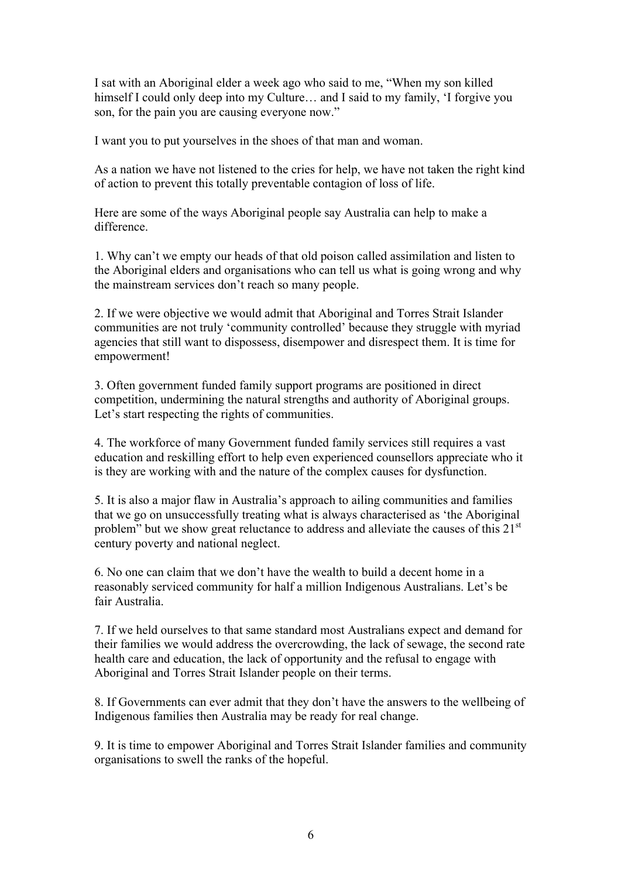I sat with an Aboriginal elder a week ago who said to me, "When my son killed himself I could only deep into my Culture... and I said to my family, 'I forgive you son, for the pain you are causing everyone now."

I want you to put yourselves in the shoes of that man and woman.

As a nation we have not listened to the cries for help, we have not taken the right kind of action to prevent this totally preventable contagion of loss of life.

Here are some of the ways Aboriginal people say Australia can help to make a difference.

1. Why can't we empty our heads of that old poison called assimilation and listen to the Aboriginal elders and organisations who can tell us what is going wrong and why the mainstream services don't reach so many people.

2. If we were objective we would admit that Aboriginal and Torres Strait Islander communities are not truly 'community controlled' because they struggle with myriad agencies that still want to dispossess, disempower and disrespect them. It is time for empowerment!

3. Often government funded family support programs are positioned in direct competition, undermining the natural strengths and authority of Aboriginal groups. Let's start respecting the rights of communities.

4. The workforce of many Government funded family services still requires a vast education and reskilling effort to help even experienced counsellors appreciate who it is they are working with and the nature of the complex causes for dysfunction.

5. It is also a major flaw in Australia's approach to ailing communities and families that we go on unsuccessfully treating what is always characterised as 'the Aboriginal problem" but we show great reluctance to address and alleviate the causes of this  $21<sup>st</sup>$ century poverty and national neglect.

6. No one can claim that we don't have the wealth to build a decent home in a reasonably serviced community for half a million Indigenous Australians. Let's be fair Australia.

7. If we held ourselves to that same standard most Australians expect and demand for their families we would address the overcrowding, the lack of sewage, the second rate health care and education, the lack of opportunity and the refusal to engage with Aboriginal and Torres Strait Islander people on their terms.

8. If Governments can ever admit that they don't have the answers to the wellbeing of Indigenous families then Australia may be ready for real change.

9. It is time to empower Aboriginal and Torres Strait Islander families and community organisations to swell the ranks of the hopeful.